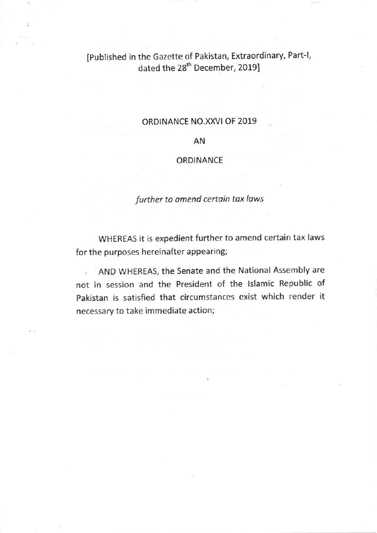# IPublished in the Gazette of Pakistan, Extraordinary, Part-1, dated the 28<sup>th</sup> December, 2019]

### ORDINANCE NO.XXVI OF 2019

### AN

#### ORDINANCE

## further to amend certain tax laws

WHEREAS it is expedient further to amend certain tax laws for the purposes hereinafter appearing;

AND WHEREAS, the Senate and the National Assembly are not in session and the President of the lslamic Repubtic of Pakistan is satisfied that circumstances exist which render it necessary to take immediate action;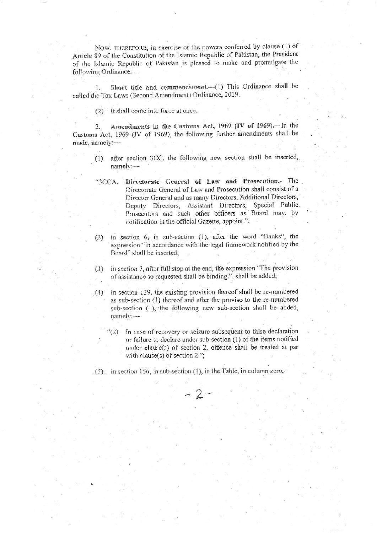NOW, THEREFORE, in exercise of the powers conferred by clause (1) of Article 89 of the Constitution of the Islamic Republic of Pakistan, the President of the Islamic Republic of Pakistan is pleased to make and promulgate the following Ordinance:-

Short title and commencement.-(1) This Ordinance shall be  $1.$ called the Tax Laws (Second Amendment) Ordinance, 2019.

 $(2)$  It shall come into force at once.

Amendments in the Customs Act, 1969 (IV of 1969).-In the  $\mathcal{D}$ Customs Act, 1969 (IV of 1969), the following further amendments shall be made, namely:-

- (1) after section 3CC, the following new section shall be inserted, namely:---
- "3CCA. Directorate General of Law and Prosecution.- The Directorate General of Law and Prosecution shall consist of a Director General and as many Directors, Additional Directors, Deputy Directors, Assistant Directors, Special Public. Prosecutors and such other officers as Board may, by notification in the official Gazette, appoint.";
- in section 6, in sub-section (1), after the word "Banks", the  $(2)$ expression "in accordance with the legal framework notified by the Board" shall be inserted:
- in section 7, after full stop at the end, the expression "The provision  $(3)$ of assistance so requested shall be binding.", shall be added;
- in section 139, the existing provision thereof shall be re-numbered  $(4)$ as sub-section (1) thereof and after the proviso to the re-numbered sub-section (1), the following new sub-section shall be added,  $namely:$ 
	- In case of recovery or seizure subsequent to false declaration or failure to declare under sub-section (1) of the items notified under clause(s) of section 2, offence shall be treated at par with clause(s) of section  $2.$ ";
- $(5)$  in section 156, in sub-section (1), in the Table, in column zero,-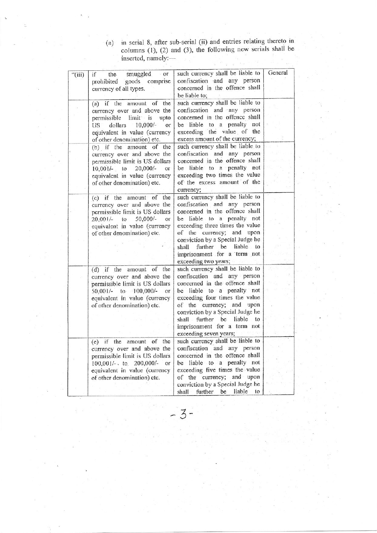| (a) | in serial 8, after sub-serial (ii) and entries relating thereto in   |
|-----|----------------------------------------------------------------------|
|     | columns $(1)$ , $(2)$ and $(3)$ , the following new serials shall be |
|     | inserted, namely:-                                                   |

 $\langle \hat{\gamma}^{\prime\prime}_{\rm eff} \rangle$ 

 $\mathcal{R}$  $\overline{c}$ 

|         | inserted, namely:-                                                                                                                                                                                                |                                                                                                                                                                                                                                                                                                                           |         |
|---------|-------------------------------------------------------------------------------------------------------------------------------------------------------------------------------------------------------------------|---------------------------------------------------------------------------------------------------------------------------------------------------------------------------------------------------------------------------------------------------------------------------------------------------------------------------|---------|
| ``(iii) | smuggled<br>if<br>the<br>$-$ OF<br>goods comprise<br>prohibited<br>currency of all types.                                                                                                                         | such currency shall be liable to<br>confiscation and any person<br>concerned in the offence shall<br>be liable to;                                                                                                                                                                                                        | General |
|         | (a) if the amount of the<br>currency over and above the<br>permissible limit is upto<br>$10,000/-$<br>dollars<br>US<br>or<br>equivalent in value (currency<br>of other denomination) etc.                         | such currency shall be liable to<br>confiscation and any person<br>concerned in the offence shall<br>be liable to a penalty not<br>exceeding the value of the<br>excess amount of the currency;                                                                                                                           |         |
|         | (b) if the amount of the<br>currency over and above the<br>permissible limit is US dollars<br>$10,001/-$ to<br>$20,000/-$<br>or<br>equivalent in value (currency<br>of other denomination) etc.                   | such currency shall be liable to<br>confiscation and any person<br>concerned in the offence shall<br>be liable to a penalty not<br>exceeding two times the value<br>of the excess amount of the<br>currency;                                                                                                              |         |
|         | (c) if the amount of the<br>currency over and above the<br>permissible fimit is US dollars<br>$50,000/-$<br>$20,001/-$<br>$\mathfrak{c}_0$<br>Oľ.<br>equivalent in value (currency<br>of other denomination) etc. | such currency shall be liable to<br>confiscation and any person<br>concerned in the offence shall<br>be liable to a penalty not<br>exceeding three times the value<br>of the currency; and upon<br>conviction by a Special Judge he<br>shall further be liable to<br>imprisonment for a term not<br>exceeding two years;  |         |
|         | (d) if the amount of the<br>currency over and above the<br>permissible limit is US dollars<br>50,001/- to 100,000/-<br>or<br>equivalent in value (currency<br>of other denomination) etc.                         | such currency shall be liable to<br>confiscation and any person<br>concerned in the offence shall<br>be liable to a penalty not<br>exceeding four times the value<br>of the currency; and upon<br>conviction by a Special Judge he<br>shall further be liable to<br>imprisonment for a term not<br>exceeding seven years; |         |
|         | (e) if the amount of the<br>currency over and above the<br>permissible limit is US dollars<br>100,001/- to 200,000/- or<br>equivalent in value (currency<br>of other denomination) etc.                           | such currency shall be liable to<br>confiscation and any person<br>concerned in the offence shall<br>be liable to a penalty not<br>exceeding five times the value<br>of the currency; and upon<br>conviction by a Special Judge he<br>be<br>liable<br>further<br>shall<br>to                                              |         |

 $3-$ 

 $\frac{1}{2}$  .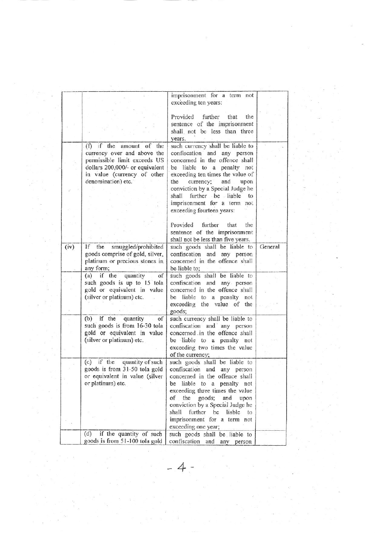|      |                                  | imprisonment for a term not        |         |
|------|----------------------------------|------------------------------------|---------|
|      |                                  | exceeding ten years:               |         |
|      |                                  |                                    |         |
|      |                                  | Provided further<br>that<br>the    |         |
|      |                                  | sentence of the imprisonment       |         |
|      |                                  | shall not be less than three       |         |
|      |                                  | years.                             |         |
|      | $(f)$ if the<br>amount of the    | such currency shall be liable to   |         |
|      | currency over and above the      | confiscation and any person        |         |
|      | permissible limit exceeds US     | concerned in the offence shall     |         |
|      | dollars 200,000/- or equivalent  | be liable to a penalty not         |         |
|      | in value (currency of other      | exceeding ten times the value of   |         |
|      | denomination) etc.               | the<br>currency; and<br>upon       |         |
|      |                                  | conviction by a Special Judge he   |         |
|      |                                  | shall further be liable to         |         |
|      |                                  | imprisonment for a term not        |         |
|      |                                  | exceeding fourteen years:          |         |
|      |                                  |                                    |         |
|      |                                  | Provided further<br>the<br>that    |         |
|      |                                  | sentence of the imprisonment       |         |
|      |                                  |                                    |         |
|      | If the                           | shall not be less than five years. |         |
| (iv) | smuggled/prohibited              | such goods shall be liable to      | General |
|      | goods comprise of gold, silver,  | confiscation and any person        |         |
|      | platinum or precious stones in   | concerned in the offence shall     |         |
|      | any form;                        | be liable to;                      |         |
|      | $(a)$ if the<br>quantity<br>of   | such goods shall be liable to      |         |
|      | such goods is up to 15 tola      | confiscation and any person        |         |
|      | gold or equivalent in value      | concerned in the offence shall     |         |
|      | (silver or platinum) etc.        | be liable to a penalty not         |         |
|      |                                  | exceeding the value of the         |         |
|      |                                  | goods;                             |         |
|      | if the<br>(b)<br>quantity<br>of  | such currency shall be liable to   |         |
|      | such goods is from 16-30 tola    | confiscation and any person        |         |
|      | gold or equivalent in value      | concerned in the offence shall     |         |
|      | (silver or platinum) etc.        | be liable to a penalty not         |         |
|      |                                  | exceeding two times the value      |         |
|      |                                  | of the currency;                   |         |
|      | $(c)$ if the<br>quantity of such | such goods shall be liable to      |         |
|      | goods is from 31-50 tola gold    | confiscation and any person        |         |
|      | or equivalent in value (silver   | concerned in the offence shall     |         |
|      | or platinum) etc.                | be liable to a penalty not         |         |
|      |                                  | exceeding three times the value    |         |
|      |                                  | of the goods;<br>and<br>upon       |         |
|      |                                  | conviction by a Special Judge he   |         |
|      |                                  | shall further be<br>liable<br>to   |         |
|      |                                  | imprisonment for a term not        |         |
|      |                                  | exceeding one year;                |         |
|      | (d)<br>if the quantity of such   | such goods shall be liable to      |         |
|      | goods is from 51-100 tola gold   | confiscation and any person        |         |
|      |                                  |                                    |         |
|      |                                  |                                    |         |
|      |                                  |                                    |         |
|      |                                  |                                    |         |
|      |                                  |                                    |         |
|      |                                  |                                    |         |
|      |                                  |                                    |         |
|      |                                  |                                    |         |
|      |                                  |                                    |         |

 $\label{eq:2.1} \frac{2\pi}{\pi} \frac{1}{\pi} \sum_{i=1}^n \frac{1}{\pi} \sum_{j=1}^n \frac{1}{\pi} \sum_{j=1}^n \frac{1}{\pi} \sum_{j=1}^n \frac{1}{\pi} \sum_{j=1}^n \frac{1}{\pi} \sum_{j=1}^n \frac{1}{\pi} \sum_{j=1}^n \frac{1}{\pi} \sum_{j=1}^n \frac{1}{\pi} \sum_{j=1}^n \frac{1}{\pi} \sum_{j=1}^n \frac{1}{\pi} \sum_{j=1}^n \frac{1}{\pi} \sum_{j=1$ 

 $\frac{1}{2}$ 

 $\frac{1}{16}$ 

e s

 $\frac{1}{\sqrt{2}}\,=\,\frac{1}{\sqrt{2}}\,\frac{1}{\sqrt{2}}\,\frac{1}{\sqrt{2}}\,\frac{1}{\sqrt{2}}\,\frac{1}{\sqrt{2}}\,\frac{1}{\sqrt{2}}$